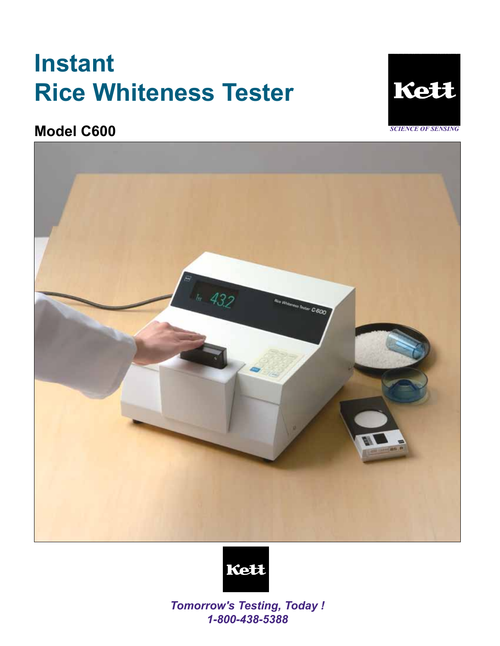# **Instant Rice Whiteness Tester**



**Model C600** 





*Tomorrow's Testing, Today ! 1-800-438-5388*